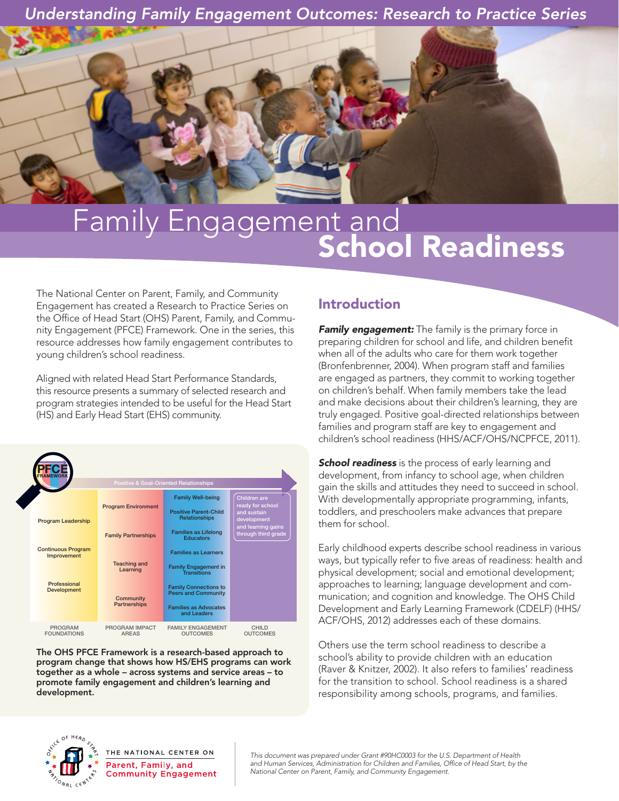*Understanding Family Engagement Outcomes: Research to Practice Series*

# Family Engagement and<br>School Readiness

The National Center on Parent, Family, and Community Engagement has created a Research to Practice Series on the Office of Head Start (OHS) Parent, Family, and Community Engagement (PFCE) Framework. One in the series, this resource addresses how family engagement contributes to young children's school readiness.

Aligned with related Head Start Performance Standards, this resource presents a summary of selected research and program strategies intended to be useful for the Head Start (HS) and Early Head Start (EHS) community.



The OHS PFCE Framework is a research-based approach to program change that shows how HS/EHS programs can work together as a whole – across systems and service areas – to promote family engagement and children's learning and development.

## Introduction

**Family engagement:** The family is the primary force in preparing children for school and life, and children benefit when all of the adults who care for them work together (Bronfenbrenner, 2004). When program staff and families are engaged as partners, they commit to working together on children's behalf. When family members take the lead and make decisions about their children's learning, they are truly engaged. Positive goal-directed relationships between families and program staff are key to engagement and children's school readiness (HHS/ACF/OHS/NCPFCE, 2011).

**School readiness** is the process of early learning and development, from infancy to school age, when children gain the skills and attitudes they need to succeed in school. With developmentally appropriate programming, infants, toddlers, and preschoolers make advances that prepare them for school.

Early childhood experts describe school readiness in various ways, but typically refer to five areas of readiness: health and physical development; social and emotional development; approaches to learning; language development and communication; and cognition and knowledge. The OHS Child Development and Early Learning Framework (CDELF) (HHS/ ACF/OHS, 2012) addresses each of these domains.

Others use the term school readiness to describe a school's ability to provide children with an education (Raver & Knitzer, 2002). It also refers to families' readiness for the transition to school. School readiness is a shared responsibility among schools, programs, and families.



THE NATIONAL CENTER ON Parent, Family, and **Community Engagement** 

*This document was prepared under Grant #90HC0003 for the U.S. Department of Health and Human Services, Administration for Children and Families, Office of Head Start, by the National Center on Parent, Family, and Community Engagement.*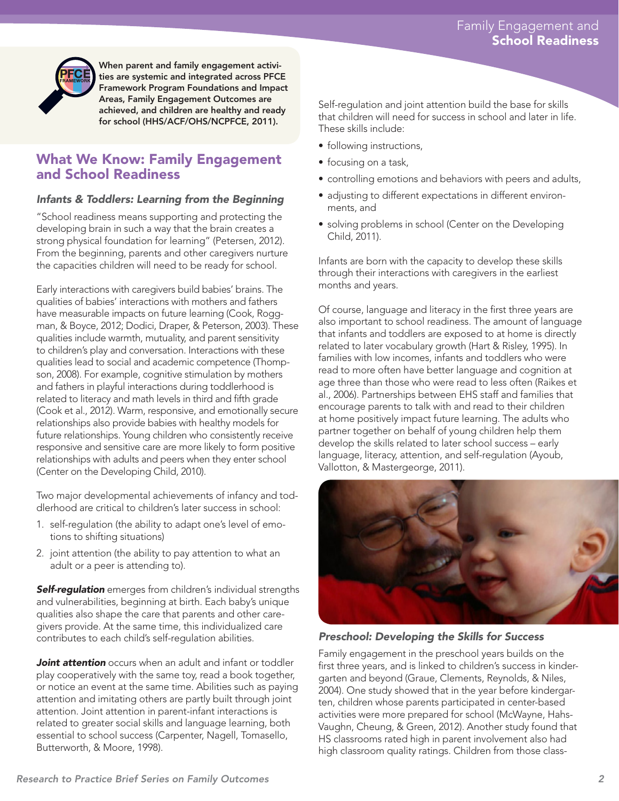

When parent and family engagement activities are systemic and integrated across PFCE Framework Program Foundations and Impact Areas, Family Engagement Outcomes are achieved, and children are healthy and ready for school (HHS/ACF/OHS/NCPFCE, 2011).

## What We Know: Family Engagement and School Readiness

#### *Infants & Toddlers: Learning from the Beginning*

"School readiness means supporting and protecting the developing brain in such a way that the brain creates a strong physical foundation for learning" (Petersen, 2012). From the beginning, parents and other caregivers nurture the capacities children will need to be ready for school.

Early interactions with caregivers build babies' brains. The qualities of babies' interactions with mothers and fathers have measurable impacts on future learning (Cook, Roggman, & Boyce, 2012; Dodici, Draper, & Peterson, 2003). These qualities include warmth, mutuality, and parent sensitivity to children's play and conversation. Interactions with these qualities lead to social and academic competence (Thompson, 2008). For example, cognitive stimulation by mothers and fathers in playful interactions during toddlerhood is related to literacy and math levels in third and fifth grade (Cook et al., 2012). Warm, responsive, and emotionally secure relationships also provide babies with healthy models for future relationships. Young children who consistently receive responsive and sensitive care are more likely to form positive relationships with adults and peers when they enter school (Center on the Developing Child, 2010).

Two major developmental achievements of infancy and toddlerhood are critical to children's later success in school:

- 1. self-regulation (the ability to adapt one's level of emotions to shifting situations)
- 2. joint attention (the ability to pay attention to what an adult or a peer is attending to).

*Self-regulation* emerges from children's individual strengths and vulnerabilities, beginning at birth. Each baby's unique qualities also shape the care that parents and other caregivers provide. At the same time, this individualized care contributes to each child's self-regulation abilities.

*Joint attention* occurs when an adult and infant or toddler play cooperatively with the same toy, read a book together, or notice an event at the same time. Abilities such as paying attention and imitating others are partly built through joint attention. Joint attention in parent-infant interactions is related to greater social skills and language learning, both essential to school success (Carpenter, Nagell, Tomasello, Butterworth, & Moore, 1998).

Self-regulation and joint attention build the base for skills that children will need for success in school and later in life. These skills include:

- following instructions,
- focusing on a task,
- controlling emotions and behaviors with peers and adults,
- adjusting to different expectations in different environments, and
- solving problems in school (Center on the Developing Child, 2011).

Infants are born with the capacity to develop these skills through their interactions with caregivers in the earliest months and years.

Of course, language and literacy in the first three years are also important to school readiness. The amount of language that infants and toddlers are exposed to at home is directly related to later vocabulary growth (Hart & Risley, 1995). In families with low incomes, infants and toddlers who were read to more often have better language and cognition at age three than those who were read to less often (Raikes et al., 2006). Partnerships between EHS staff and families that encourage parents to talk with and read to their children at home positively impact future learning. The adults who partner together on behalf of young children help them develop the skills related to later school success – early language, literacy, attention, and self-regulation (Ayoub, Vallotton, & Mastergeorge, 2011).



#### *Preschool: Developing the Skills for Success*

Family engagement in the preschool years builds on the first three years, and is linked to children's success in kindergarten and beyond (Graue, Clements, Reynolds, & Niles, 2004). One study showed that in the year before kindergarten, children whose parents participated in center-based activities were more prepared for school (McWayne, Hahs-Vaughn, Cheung, & Green, 2012). Another study found that HS classrooms rated high in parent involvement also had high classroom quality ratings. Children from those class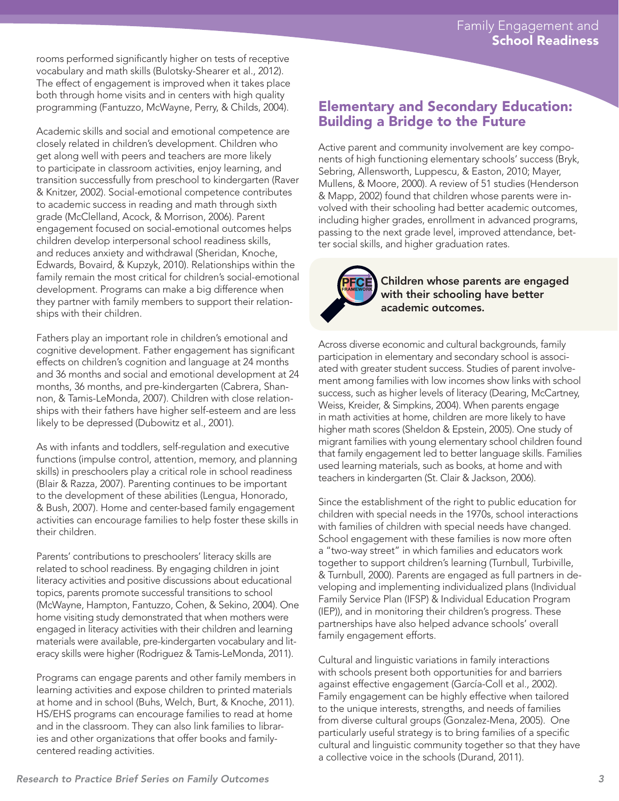rooms performed significantly higher on tests of receptive vocabulary and math skills (Bulotsky-Shearer et al., 2012). The effect of engagement is improved when it takes place both through home visits and in centers with high quality programming (Fantuzzo, McWayne, Perry, & Childs, 2004).

Academic skills and social and emotional competence are closely related in children's development. Children who get along well with peers and teachers are more likely to participate in classroom activities, enjoy learning, and transition successfully from preschool to kindergarten (Raver & Knitzer, 2002). Social-emotional competence contributes to academic success in reading and math through sixth grade (McClelland, Acock, & Morrison, 2006). Parent engagement focused on social-emotional outcomes helps children develop interpersonal school readiness skills, and reduces anxiety and withdrawal (Sheridan, Knoche, Edwards, Bovaird, & Kupzyk, 2010). Relationships within the family remain the most critical for children's social-emotional development. Programs can make a big difference when they partner with family members to support their relationships with their children.

Fathers play an important role in children's emotional and cognitive development. Father engagement has significant effects on children's cognition and language at 24 months and 36 months and social and emotional development at 24 months, 36 months, and pre-kindergarten (Cabrera, Shannon, & Tamis-LeMonda, 2007). Children with close relationships with their fathers have higher self-esteem and are less likely to be depressed (Dubowitz et al., 2001).

As with infants and toddlers, self-regulation and executive functions (impulse control, attention, memory, and planning skills) in preschoolers play a critical role in school readiness (Blair & Razza, 2007). Parenting continues to be important to the development of these abilities (Lengua, Honorado, & Bush, 2007). Home and center-based family engagement activities can encourage families to help foster these skills in their children.

Parents' contributions to preschoolers' literacy skills are related to school readiness. By engaging children in joint literacy activities and positive discussions about educational topics, parents promote successful transitions to school (McWayne, Hampton, Fantuzzo, Cohen, & Sekino, 2004). One home visiting study demonstrated that when mothers were engaged in literacy activities with their children and learning materials were available, pre-kindergarten vocabulary and literacy skills were higher (Rodriguez & Tamis-LeMonda, 2011).

Programs can engage parents and other family members in learning activities and expose children to printed materials at home and in school (Buhs, Welch, Burt, & Knoche, 2011). HS/EHS programs can encourage families to read at home and in the classroom. They can also link families to libraries and other organizations that offer books and familycentered reading activities.

## Elementary and Secondary Education: Building a Bridge to the Future

Active parent and community involvement are key components of high functioning elementary schools' success (Bryk, Sebring, Allensworth, Luppescu, & Easton, 2010; Mayer, Mullens, & Moore, 2000). A review of 51 studies (Henderson & Mapp, 2002) found that children whose parents were involved with their schooling had better academic outcomes, including higher grades, enrollment in advanced programs, passing to the next grade level, improved attendance, better social skills, and higher graduation rates.



Children whose parents are engaged with their schooling have better academic outcomes.

Across diverse economic and cultural backgrounds, family participation in elementary and secondary school is associated with greater student success. Studies of parent involvement among families with low incomes show links with school success, such as higher levels of literacy (Dearing, McCartney, Weiss, Kreider, & Simpkins, 2004). When parents engage in math activities at home, children are more likely to have higher math scores (Sheldon & Epstein, 2005). One study of migrant families with young elementary school children found that family engagement led to better language skills. Families used learning materials, such as books, at home and with teachers in kindergarten (St. Clair & Jackson, 2006).

Since the establishment of the right to public education for children with special needs in the 1970s, school interactions with families of children with special needs have changed. School engagement with these families is now more often a "two-way street" in which families and educators work together to support children's learning (Turnbull, Turbiville, & Turnbull, 2000). Parents are engaged as full partners in developing and implementing individualized plans (Individual Family Service Plan (IFSP) & Individual Education Program (IEP)), and in monitoring their children's progress. These partnerships have also helped advance schools' overall family engagement efforts.

Cultural and linguistic variations in family interactions with schools present both opportunities for and barriers against effective engagement (García-Coll et al., 2002). Family engagement can be highly effective when tailored to the unique interests, strengths, and needs of families from diverse cultural groups (Gonzalez-Mena, 2005). One particularly useful strategy is to bring families of a specific cultural and linguistic community together so that they have a collective voice in the schools (Durand, 2011).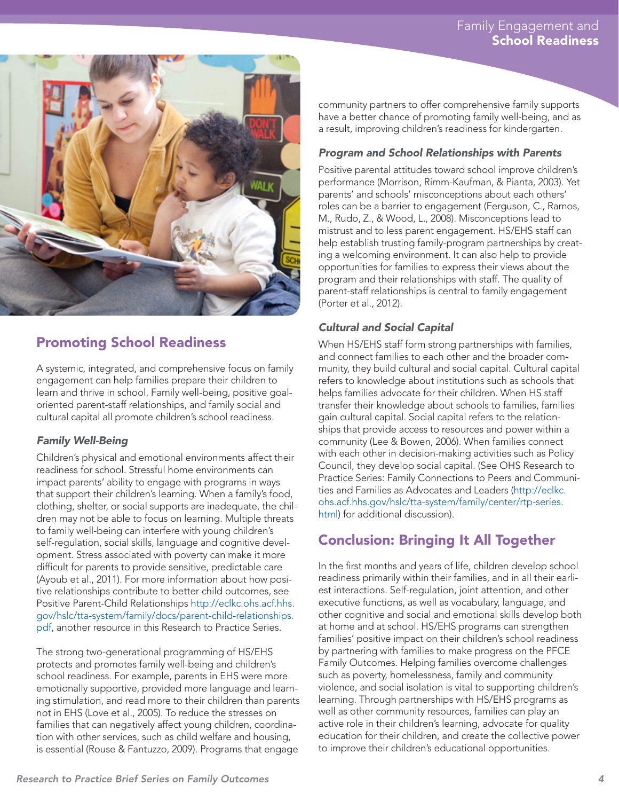

## Promoting School Readiness

A systemic, integrated, and comprehensive focus on family engagement can help families prepare their children to learn and thrive in school. Family well-being, positive goaloriented parent-staff relationships, and family social and cultural capital all promote children's school readiness.

#### *Family Well-Being*

Children's physical and emotional environments affect their readiness for school. Stressful home environments can impact parents' ability to engage with programs in ways that support their children's learning. When a family's food, clothing, shelter, or social supports are inadequate, the children may not be able to focus on learning. Multiple threats to family well-being can interfere with young children's self-regulation, social skills, language and cognitive development. Stress associated with poverty can make it more difficult for parents to provide sensitive, predictable care (Ayoub et al., 2011). For more information about how positive relationships contribute to better child outcomes, see Positive Parent-Child Relationships [http://eclkc.ohs.acf.hhs.](http://eclkc.ohs.acf.hhs.gov/hslc/tta-system/family/docs/parent-child-relationships.pdf) [gov/hslc/tta-system/family/docs/parent-child-relationships.](http://eclkc.ohs.acf.hhs.gov/hslc/tta-system/family/docs/parent-child-relationships.pdf) [pdf,](http://eclkc.ohs.acf.hhs.gov/hslc/tta-system/family/docs/parent-child-relationships.pdf) another resource in this Research to Practice Series.

The strong two-generational programming of HS/EHS protects and promotes family well-being and children's school readiness. For example, parents in EHS were more emotionally supportive, provided more language and learning stimulation, and read more to their children than parents not in EHS (Love et al., 2005). To reduce the stresses on families that can negatively affect young children, coordination with other services, such as child welfare and housing, is essential (Rouse & Fantuzzo, 2009). Programs that engage

community partners to offer comprehensive family supports have a better chance of promoting family well-being, and as a result, improving children's readiness for kindergarten.

#### *Program and School Relationships with Parents*

Positive parental attitudes toward school improve children's performance (Morrison, Rimm-Kaufman, & Pianta, 2003). Yet parents' and schools' misconceptions about each others' roles can be a barrier to engagement (Ferguson, C., Ramos, M., Rudo, Z., & Wood, L., 2008). Misconceptions lead to mistrust and to less parent engagement. HS/EHS staff can help establish trusting family-program partnerships by creating a welcoming environment. It can also help to provide opportunities for families to express their views about the program and their relationships with staff. The quality of parent-staff relationships is central to family engagement (Porter et al., 2012).

### *Cultural and Social Capital*

When HS/EHS staff form strong partnerships with families, and connect families to each other and the broader community, they build cultural and social capital. Cultural capital refers to knowledge about institutions such as schools that helps families advocate for their children. When HS staff transfer their knowledge about schools to families, families gain cultural capital. Social capital refers to the relationships that provide access to resources and power within a community (Lee & Bowen, 2006). When families connect with each other in decision-making activities such as Policy Council, they develop social capital. (See OHS Research to Practice Series: Family Connections to Peers and Communities and Families as Advocates and Leaders [\(http://eclkc.](http://eclkc.ohs.acf.hhs.gov/hslc/tta-system/family/center/rtp-series.html) [ohs.acf.hhs.gov/hslc/tta-system/family/center/rtp-series.](http://eclkc.ohs.acf.hhs.gov/hslc/tta-system/family/center/rtp-series.html) [html](http://eclkc.ohs.acf.hhs.gov/hslc/tta-system/family/center/rtp-series.html)) for additional discussion).

## Conclusion: Bringing It All Together

In the first months and years of life, children develop school readiness primarily within their families, and in all their earliest interactions. Self-regulation, joint attention, and other executive functions, as well as vocabulary, language, and other cognitive and social and emotional skills develop both at home and at school. HS/EHS programs can strengthen families' positive impact on their children's school readiness by partnering with families to make progress on the PFCE Family Outcomes. Helping families overcome challenges such as poverty, homelessness, family and community violence, and social isolation is vital to supporting children's learning. Through partnerships with HS/EHS programs as well as other community resources, families can play an active role in their children's learning, advocate for quality education for their children, and create the collective power to improve their children's educational opportunities.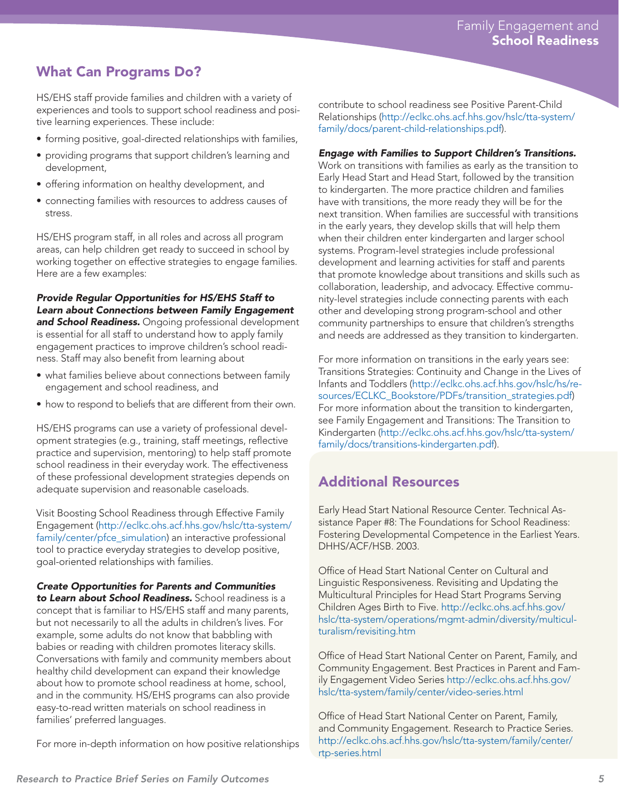# What Can Programs Do?

HS/EHS staff provide families and children with a variety of experiences and tools to support school readiness and positive learning experiences. These include:

- forming positive, goal-directed relationships with families,
- providing programs that support children's learning and development,
- offering information on healthy development, and
- connecting families with resources to address causes of stress.

HS/EHS program staff, in all roles and across all program areas, can help children get ready to succeed in school by working together on effective strategies to engage families. Here are a few examples:

*Provide Regular Opportunities for HS/EHS Staff to Learn about Connections between Family Engagement and School Readiness.* Ongoing professional development is essential for all staff to understand how to apply family engagement practices to improve children's school readiness. Staff may also benefit from learning about

- what families believe about connections between family engagement and school readiness, and
- how to respond to beliefs that are different from their own.

HS/EHS programs can use a variety of professional development strategies (e.g., training, staff meetings, reflective practice and supervision, mentoring) to help staff promote school readiness in their everyday work. The effectiveness of these professional development strategies depends on adequate supervision and reasonable caseloads.

Visit Boosting School Readiness through Effective Family Engagement [\(http://eclkc.ohs.acf.hhs.gov/hslc/tta-system/](http://eclkc.ohs.acf.hhs.gov/hslc/tta-system/family/center/pfce_simulation) [family/center/pfce\\_simulation\)](http://eclkc.ohs.acf.hhs.gov/hslc/tta-system/family/center/pfce_simulation) an interactive professional tool to practice everyday strategies to develop positive, goal-oriented relationships with families.

## *Create Opportunities for Parents and Communities*

*to Learn about School Readiness.* School readiness is a concept that is familiar to HS/EHS staff and many parents, but not necessarily to all the adults in children's lives. For example, some adults do not know that babbling with babies or reading with children promotes literacy skills. Conversations with family and community members about healthy child development can expand their knowledge about how to promote school readiness at home, school, and in the community. HS/EHS programs can also provide easy-to-read written materials on school readiness in families' preferred languages.

For more in-depth information on how positive relationships

contribute to school readiness see Positive Parent-Child Relationships ([http://eclkc.ohs.acf.hhs.gov/hslc/tta-system/](http://eclkc.ohs.acf.hhs.gov/hslc/tta-system/family/docs/parent-child-relationships.pdf) [family/docs/parent-child-relationships.pdf](http://eclkc.ohs.acf.hhs.gov/hslc/tta-system/family/docs/parent-child-relationships.pdf)).

#### *Engage with Families to Support Children's Transitions.*

Work on transitions with families as early as the transition to Early Head Start and Head Start, followed by the transition to kindergarten. The more practice children and families have with transitions, the more ready they will be for the next transition. When families are successful with transitions in the early years, they develop skills that will help them when their children enter kindergarten and larger school systems. Program-level strategies include professional development and learning activities for staff and parents that promote knowledge about transitions and skills such as collaboration, leadership, and advocacy. Effective community-level strategies include connecting parents with each other and developing strong program-school and other community partnerships to ensure that children's strengths and needs are addressed as they transition to kindergarten.

For more information on transitions in the early years see: Transitions Strategies: Continuity and Change in the Lives of Infants and Toddlers ([http://eclkc.ohs.acf.hhs.gov/hslc/hs/re](http://eclkc.ohs.acf.hhs.gov/hslc/hs/resources/ECLKC_Bookstore/PDFs/transition_strategies.pdf)[sources/ECLKC\\_Bookstore/PDFs/transition\\_strategies.pdf\)](http://eclkc.ohs.acf.hhs.gov/hslc/hs/resources/ECLKC_Bookstore/PDFs/transition_strategies.pdf) For more information about the transition to kindergarten, see Family Engagement and Transitions: The Transition to Kindergarten ([http://eclkc.ohs.acf.hhs.gov/hslc/tta-system/](http://eclkc.ohs.acf.hhs.gov/hslc/tta-system/family/docs/transitions-kindergarten.pdf) [family/docs/transitions-kindergarten.pdf\)](http://eclkc.ohs.acf.hhs.gov/hslc/tta-system/family/docs/transitions-kindergarten.pdf).

## Additional Resources

Early Head Start National Resource Center. Technical Assistance Paper #8: The Foundations for School Readiness: Fostering Developmental Competence in the Earliest Years. DHHS/ACF/HSB. 2003.

Office of Head Start National Center on Cultural and Linguistic Responsiveness. Revisiting and Updating the Multicultural Principles for Head Start Programs Serving Children Ages Birth to Five. [http://eclkc.ohs.acf.hhs.gov/](http://eclkc.ohs.acf.hhs.gov/hslc/tta-system/operations/mgmt-admin/diversity/multiculturalism/revisiting.htm) [hslc/tta-system/operations/mgmt-admin/diversity/multicul](http://eclkc.ohs.acf.hhs.gov/hslc/tta-system/operations/mgmt-admin/diversity/multiculturalism/revisiting.htm)[turalism/revisiting.htm](http://eclkc.ohs.acf.hhs.gov/hslc/tta-system/operations/mgmt-admin/diversity/multiculturalism/revisiting.htm)

Office of Head Start National Center on Parent, Family, and Community Engagement. Best Practices in Parent and Family Engagement Video Series [http://eclkc.ohs.acf.hhs.gov/](http://eclkc.ohs.acf.hhs.gov/hslc/tta-system/family/center/video-series.html) [hslc/tta-system/family/center/video-series.html](http://eclkc.ohs.acf.hhs.gov/hslc/tta-system/family/center/video-series.html)

Office of Head Start National Center on Parent, Family, and Community Engagement. Research to Practice Series. [http://eclkc.ohs.acf.hhs.gov/hslc/tta-system/family/center/](http://eclkc.ohs.acf.hhs.gov/hslc/tta-system/family/center/rtp-series.html) [rtp-series.html](http://eclkc.ohs.acf.hhs.gov/hslc/tta-system/family/center/rtp-series.html)